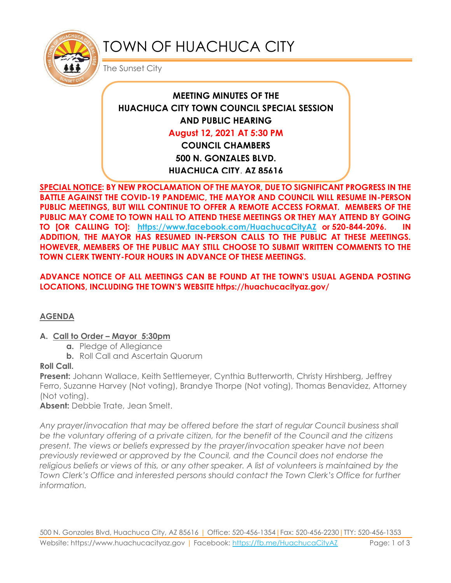

# TOWN OF HUACHUCA CITY

The Sunset City

# **MEETING MINUTES OF THE HUACHUCA CITY TOWN COUNCIL SPECIAL SESSION AND PUBLIC HEARING August 12, 2021 AT 5:30 PM COUNCIL CHAMBERS 500 N. GONZALES BLVD. HUACHUCA CITY, AZ 85616**

**SPECIAL NOTICE: BY NEW PROCLAMATION OF THE MAYOR, DUE TO SIGNIFICANT PROGRESS IN THE BATTLE AGAINST THE COVID-19 PANDEMIC, THE MAYOR AND COUNCIL WILL RESUME IN-PERSON PUBLIC MEETINGS, BUT WILL CONTINUE TO OFFER A REMOTE ACCESS FORMAT. MEMBERS OF THE PUBLIC MAY COME TO TOWN HALL TO ATTEND THESE MEETINGS OR THEY MAY ATTEND BY GOING TO [OR CALLING TO]: <https://www.facebook.com/HuachucaCityAZ> or 520-844-2096. IN ADDITION, THE MAYOR HAS RESUMED IN-PERSON CALLS TO THE PUBLIC AT THESE MEETINGS. HOWEVER, MEMBERS OF THE PUBLIC MAY STILL CHOOSE TO SUBMIT WRITTEN COMMENTS TO THE TOWN CLERK TWENTY-FOUR HOURS IN ADVANCE OF THESE MEETINGS.** 

#### **ADVANCE NOTICE OF ALL MEETINGS CAN BE FOUND AT THE TOWN'S USUAL AGENDA POSTING LOCATIONS, INCLUDING THE TOWN'S WEBSITE https://huachucacityaz.gov/**

# **AGENDA**

# **A. Call to Order – Mayor 5:30pm**

- **a.** Pledge of Allegiance
- **b.** Roll Call and Ascertain Quorum

# **Roll Call.**

**Present:** Johann Wallace, Keith Settlemeyer, Cynthia Butterworth, Christy Hirshberg, Jeffrey Ferro, Suzanne Harvey (Not voting), Brandye Thorpe (Not voting), Thomas Benavidez, Attorney (Not voting).

**Absent:** Debbie Trate, Jean Smelt.

*Any prayer/invocation that may be offered before the start of regular Council business shall be the voluntary offering of a private citizen, for the benefit of the Council and the citizens present. The views or beliefs expressed by the prayer/invocation speaker have not been previously reviewed or approved by the Council, and the Council does not endorse the*  religious beliefs or views of this, or any other speaker. A list of volunteers is maintained by the *Town Clerk's Office and interested persons should contact the Town Clerk's Office for further information.*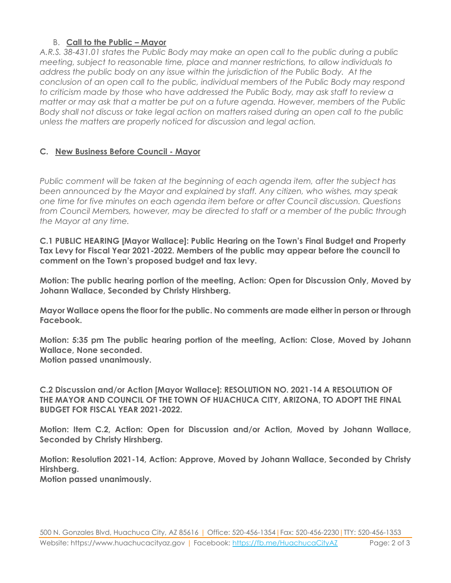#### B. **Call to the Public – Mayor**

*A.R.S. 38-431.01 states the Public Body may make an open call to the public during a public meeting, subject to reasonable time, place and manner restrictions, to allow individuals to address the public body on any issue within the jurisdiction of the Public Body. At the conclusion of an open call to the public, individual members of the Public Body may respond to criticism made by those who have addressed the Public Body, may ask staff to review a matter or may ask that a matter be put on a future agenda. However, members of the Public Body shall not discuss or take legal action on matters raised during an open call to the public unless the matters are properly noticed for discussion and legal action.*

#### **C. New Business Before Council - Mayor**

*Public comment will be taken at the beginning of each agenda item, after the subject has been announced by the Mayor and explained by staff. Any citizen, who wishes, may speak one time for five minutes on each agenda item before or after Council discussion. Questions from Council Members, however, may be directed to staff or a member of the public through the Mayor at any time.* 

**C.1 PUBLIC HEARING [Mayor Wallace]: Public Hearing on the Town's Final Budget and Property Tax Levy for Fiscal Year 2021-2022. Members of the public may appear before the council to comment on the Town's proposed budget and tax levy.** 

**Motion: The public hearing portion of the meeting, Action: Open for Discussion Only, Moved by Johann Wallace, Seconded by Christy Hirshberg.**

**Mayor Wallace opens the floor for the public. No comments are made either in person or through Facebook.**

**Motion: 5:35 pm The public hearing portion of the meeting, Action: Close, Moved by Johann Wallace, None seconded. Motion passed unanimously.**

**C.2 Discussion and/or Action [Mayor Wallace]: RESOLUTION NO. 2021-14 A RESOLUTION OF THE MAYOR AND COUNCIL OF THE TOWN OF HUACHUCA CITY, ARIZONA, TO ADOPT THE FINAL BUDGET FOR FISCAL YEAR 2021-2022.**

**Motion: Item C.2, Action: Open for Discussion and/or Action, Moved by Johann Wallace, Seconded by Christy Hirshberg.**

**Motion: Resolution 2021-14, Action: Approve, Moved by Johann Wallace, Seconded by Christy Hirshberg. Motion passed unanimously.**